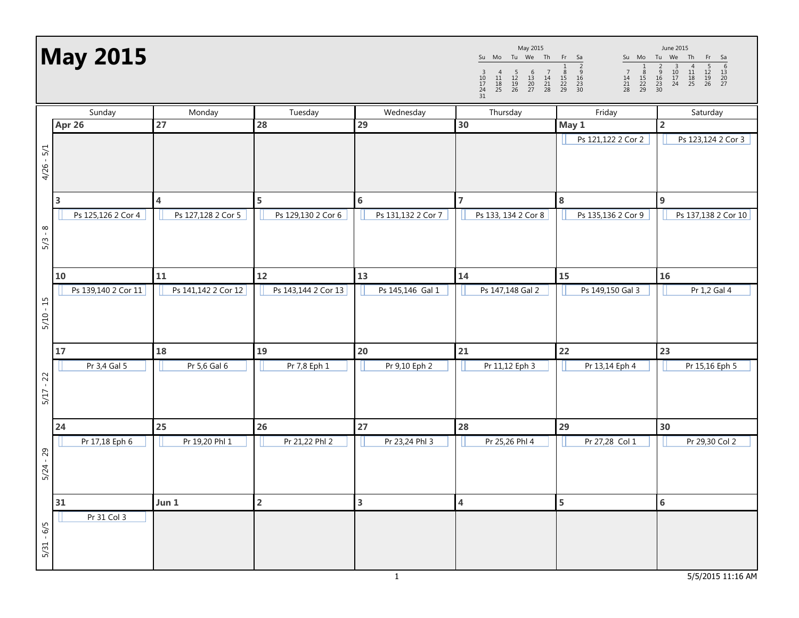**May 2015**May 2015June 2015Su Mo Tu We Th Fr Sa Su Mo Tu We Th Fr Sa<br>
7 1 2 3 4 5 6<br>
7 8 9 10 11 12 13<br>
14 15 16 17 18 19 20<br>
21 22 23 24 25 26 27  $\begin{array}{@{}lllllllll@{}} & & & & & 1 & & 2 \\ \hline & 7 & & 8 & & 9 \\ 14 & & 15 & & 16 & & \\ 21 & & 22 & & 23 & & \\ 28 & & 29 & & 30 & & \\ \end{array}$ <sup>1</sup> <sup>2</sup> <sup>3</sup> <sup>4</sup> <sup>5</sup> <sup>6</sup> <sup>7</sup> <sup>8</sup> <sup>9</sup> <sup>10</sup> <sup>11</sup> <sup>12</sup> <sup>13</sup> <sup>14</sup> <sup>15</sup> <sup>16</sup> <sup>17</sup> <sup>18</sup> <sup>19</sup> <sup>20</sup> <sup>21</sup> <sup>22</sup> <sup>23</sup> <sup>24</sup> <sup>25</sup> <sup>26</sup> <sup>27</sup> <sup>28</sup> <sup>29</sup> <sup>30</sup>  $\begin{array}{c} 3 \\ 10 \\ 17 \\ 24 \\ 31 \end{array}$ <sup>3</sup> <sup>4</sup> <sup>5</sup> <sup>6</sup> <sup>7</sup> <sup>8</sup> <sup>9</sup> <sup>10</sup> <sup>11</sup> <sup>12</sup> <sup>13</sup> <sup>14</sup> <sup>15</sup> <sup>16</sup> <sup>17</sup> <sup>18</sup> <sup>19</sup> <sup>20</sup> <sup>21</sup> <sup>22</sup> <sup>23</sup> <sup>24</sup> <sup>25</sup> <sup>26</sup> <sup>27</sup> <sup>28</sup> <sup>29</sup> <sup>30</sup> Sundayy Monday Tuesday Wednesday Thursday Friday Saturday **Apr 26 <sup>27</sup> <sup>28</sup> <sup>29</sup> <sup>30</sup> May 1 <sup>2</sup>** Ps 121,122 2 Cor 2 **Ps** 123,124 2 Cor 3  $4/26 - 5/1$ 4/26 - 5/1 **3 <sup>4</sup> <sup>5</sup> <sup>6</sup> <sup>7</sup> <sup>8</sup> <sup>9</sup>** Ps 127,128 2 Cor 5 Ps 129,130 2 Cor 6 Ps 129,130 2 Cor 6 Ps 131,132 2 Cor 7 Ps 133, 134 2 Cor 8 Ps 135,136 2 Cor 9 Ps 137,138 2 Cor 10 5/3 - 8 **10 <sup>11</sup> <sup>12</sup> <sup>13</sup> <sup>14</sup> <sup>15</sup> <sup>16</sup>** Ps 139,140 2 Cor 11 | | | | Ps 141,142 2 Cor 12 | | | Ps 143,144 2 Cor 13 | | | Ps 145,146 Gal 1 | | | Ps 147,148 Gal 2 | | | Ps 149,150 Gal 3 | | | Pr 1,2 Gal 4 5/10 - 15 **17 <sup>18</sup> <sup>19</sup> <sup>20</sup> <sup>21</sup> <sup>22</sup> <sup>23</sup>** Pr 3,4 Gal 5 | | | Pr 5,6 Gal 6 | | | Pr 7,8 Eph 1 | | Pr 9,10 Eph 2 | | Pr 11,12 Eph 3 | | Pr 13,14 Eph 4 | | Pr 15,16 Eph 5 5/17 - 22 **24 <sup>25</sup> <sup>26</sup> <sup>27</sup> <sup>28</sup> <sup>29</sup> <sup>30</sup>** Pr 17,18 Eph 6 | | | Pr 19,20 Phl 1 | | | Pr 21,22 Phl 2 | | | Pr 23,24 Phl 3 | | | Pr 25,26 Phl 4 | | | Pr 27,28 Col 1 | | | Pr 29,30 Col 2 5/24 - 29 **31 Jun 1 <sup>2</sup> <sup>3</sup> <sup>4</sup> <sup>5</sup> <sup>6</sup>** Pr 31 Col 3 $5/31 - 6/5$ 5/31 - 6/5